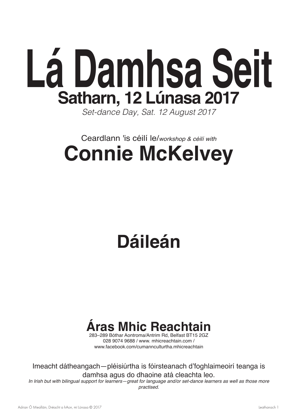

*Set-dance Day, Sat. 12 August 2017*

## Ceardlann 'is céilí le/*workshop & céilí with* **Connie McKelvey**

# **Dáileán**

# **Áras Mhic Reachtain**

283–289 Bóthar Aontroma/Antrim Rd, Belfast BT15 2GZ 028 9074 9688 / www. mhicreachtain.com / www.facebook.com/cumannculturtha.mhicreachtain

Imeacht dátheangach—pléisiúrtha is fóirsteanach d'foghlaimeoirí teanga is damhsa agus do dhaoine atá cleachta leo.

In Irish but with bilingual support for learners—great for language and/or set-dance learners as well as those more *practised.*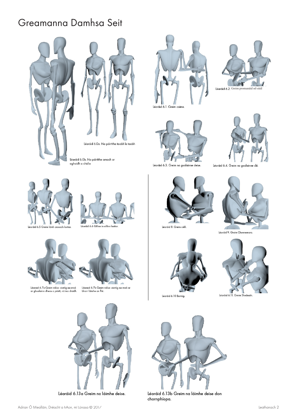## Greamanna Damhsa Seit













Léaráid 6.4. Greim na gualainne







Léaraid 6.7a Greim válsa: ciotóg na mná<br>ar ghualainn dheas a páirtí, nó ina diaidh.



Léaraid 6.7b Greim válsa: ciotóg na mná ar<br>bharr láimhe an fhir.



Léaráid 6.13a Greim na láimhe deise.



Léaráid 8. Greim céilí.





Léaráid 9. Greim Chonnemara.



Léaráid 6.11. Greim Sheánaín.

7



Léaráid 6.13b Greim na láimhe deise don chornphíopa.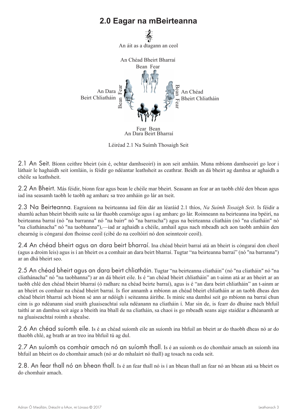### **2.0 Eagar na mBeirteanna**



Léiréad 2.1 Na Suímh Thosaigh Seit

2.1 An Seit. Bíonn ceithre bheirt (sin é, ochtar damhseoirí) in aon seit amháin. Muna mbíonn damhseoirí go leor i láthair le haghaidh seit iomláin, is féidir go ndéantar leathsheit as ceathrar. Beidh an dá bheirt ag damhsa ar aghaidh a chéile sa leathsheit.

2.2 An Bheirt. Más féidir, bíonn fear agus bean le chéile mar bheirt. Seasann an fear ar an taobh chlé den bhean agus iad ina seasamh taobh le taobh ag amharc sa treo amháin go lár an tseit.

2.3 Na Beirteanna. Eagraíonn na beirteanna iad féin dár an léaráid 2.1 thíos, *Na Suímh Tosaigh Seit*. Is féidir a shamlú achan bheirt bheith suite sa lár thaobh cearnóige agus í ag amharc go lár. Roinneann na beirteanna ina bpéirí, na beirteanna barraí (nó "na barranna" nó "na bairr" nó "na barracha") agus na beirteanna cliatháin (nó "na cliatháin" nó "na cliathánacha" nó "na taobhanna"),—iad ar aghaidh a chéile, amhail agus nach mbeadh ach aon taobh amháin den chearnóg is cóngaraí don fhoinse ceoil (cibé do na ceoltóirí nó don seinnteoir ceoil).

2.4 An chéad bheirt agus an dara beirt bharraí. Ina chéad bheirt barraí atá an bheirt is cóngaraí don cheol (agus a droim leis) agus is í an bheirt os a comhair an dara beirt bharraí. Tugtar "na beirteanna barraí" (nó "na barranna") ar an dhá bheirt seo.

2.5 An chéad bheirt agus an dara beirt chliatháin. Tugtar "na beirteanna cliatháin" (nó "na cliatháin" nó "na cliathánacha" nó "na taobhanna") ar an dá bheirt eile. Is é "an chéad bheirt chliatháin" an t-aimn atá ar an bheirt ar an taobh chlé den chéad bheirt bharraí (ó radharc na chéad beirte barraí), agus is é "an dara beirt chliatháin" an t-ainm ar an bheirt os comhair na chéad bheirt barraí. Is fíor annamh a mbíonn an chéad bheirt chliatháin ar an taobh dheas den chéad bheirt bharraí ach bíonn sé ann ar ndóigh i seiteanna áirithe. Is minic sna damhsí seit go mbíonn na barraí chun cinn is go ndéanann siad sraith gluaiseachtaí sula ndéanann na cliatháin í. Mar sin de, is fearr do dhuine nach bhfuil taithí ar an damhsa seit aige a bheith ina bhall de na cliatháin, sa chaoi is go mbeadh seans aige staidéar a dhéanamh ar na gluaiseachtaí roimh a shealse.

2.6 An chéad suíomh eile. Is é an chéad suíomh eile an suíomh ina bhfuil an bheirt ar do thaobh dheas nó ar do thaobh chlé, ag brath ar an treo ina bhfuil tú ag dul.

2.7 An suíomh os comhair amach nó an suíomh thall. Is é an suíomh os do chomhair amach an suíomh ina bhfuil an bheirt os do chomhair amach (nó ar do mhalairt nó thall) ag tosach na coda seit.

2.8. An fear thall nó an bhean thall. Is é an fear thall nó is í an bhean thall an fear nó an bhean atá sa bheirt os do chomhair amach.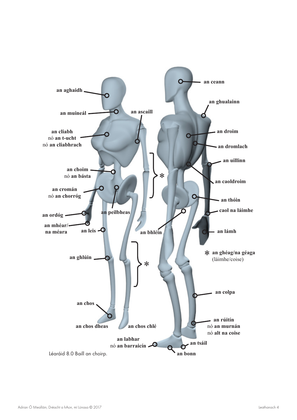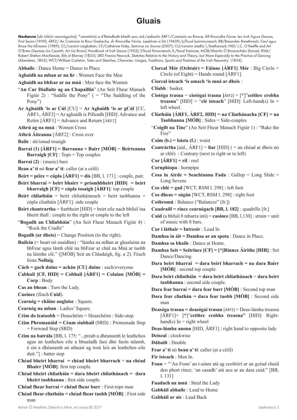### **Gluais**

**Nodanna** [idir lúibíní cearnógacha]: \*sainmhíniú a d'fhéadfadh bheith ann; aid./aidiacht; ÁRF1/Coimisiún an Rinnce, *ÁR Rinncidhe Fóirne: ten Irish Figure Dances, First Series* (1939); ÁRF2/ An Coimisiún le Rincí Gaelacha, *Ár Rinncidhe Fóirne. Leabhrán a Dó* (1943?); b/focal baininscneach; BB/Breandán Breathnach, *Ceol agus Rince Na hÉireann* (1989); CC/canúint caighdeán; CF/Catherine Foley, *Seitrince na Sionna* (2007); CU/canúint uladh); l./leathanach; HID/ J.C. O'Keeffe and Art O'Brien (Seumas Ua Caoimh, Art Ua Briain) *Handbook of Irish Dance* (1902); f/focal firinscneach; fr./focal fraincise; MÓB/Mairtín Ó Brosnacháin (foinse); RSM/ Robert Shelton MacKenzie, *Bits of Blarney* (1855); SRD Francis Peacock, *Sketches Relative to the History and Theory, but More Especially to the Practice of Dancing* (Aberdeen, 1805); WCT/William Carleton, *Tales and Sketches, Character, Usages, Traditions, Sports and Pastimes of the Irish Peasantry* (1854).

**Abhaile** : Dance Home = Dance to Place

**Aghaidh na mban ar na fir** : Women Face the Men

**Aghaidh na bhfear ar na mná** : Men face the Women

- "**An Cur Diallaite ag an Chapaillín**" (An Seit Fhear Manach Figiúr 2) : "Saddle the Pony" ( = "The Saddling of the Pony")
- **Ar Aghaidh 'is ar Cúl** [CU] = **Ar Aghaidh 'is ar gCúl** [CC, ÁRF1, ÁRF2] = Ar aghaidh is Pilleadh [HID]: Advance and Retire  $\text{[ARF1]} = \text{Advance}$  and Return  $\text{[ARF2]}$
- **Athrú ag na mná** : Women Cross
- **Athrú Áiteanna** [ÁRF2] : Cross over
- **Baile** : áit/ionad tosaigh
- **Barraí (1) [ÁRF1] = Barranna = Bairr [MÓB]** = **Beirteanna Barraigh [CF]** : Tops = Top couples
- **Barraí (2)** : (music) bars
- **Bean a' tí** nó **fear a' tí**: caller (at a céilí)

**Beirt = péire = cúpla [ÁRF1] = dís** [BB, l. 171] : couple, pair.

- **Beirt bharraí = beirt bhairr = príomhbheirt [HID] = beirt bharraigh [CF] = cúpla tosaigh [ÁRF1]**: top couple
- **Beirt chliatháin** = beirt chliatháineach = beirt taobhanna = cúpla cliatháin [ÁRF1]: side couple
- **Beirt chontrartha** = fiarbheirt [HID] = beirt eile nach bhfuil ina bheirt thall : couple to the right or couple to the left
- "**Bogadh an Chliabháin**" (An Seit Fhear Manach Figiúr 4) : "Rock the Cradle"
- **Bogadh (ar dheis)** = Change Position (to the right).
- **Builcín** (= beart nó snaidhm) : "lámha na mBan ar ghualainn na bhFear agus lámh chlé na bhFear ar chúl na Mná ar taobh na láimhe clé." ([MÓB] Seit an Chladaigh, fig. a 2). Féach fosta **Nollaig**.
- **Cách = gach duine = achán [CU] duine** : each/everyone
- **Cabhail [CF, HID] = Cobhail [ÁRF1] = Colainn [MÓB] = Corp** : Body
- **Cas an bhean** : Turn the Lady.

**Caoince** (féach **Cuid**).

- **Cearnóg = châine anglaise** : Square.
- **Cearnóg na mban** : Ladies' Square.
- **Céim do leataobh** = Deaschéim = Sleaschéim : Side-step.
- **Céim Phromanáid = Cèum siubhail** (SRD) : Promenade Step = Forward Step (SRD)
- **Céim na batrála** [BB, l. 175: "...preab a dhéanamh le leathchos agus an leathchos eile a bhualadh faoi dhó faoin talamh, é sin a dhéanamh an athuair ag tosú leis an leathchos eile duit."] : batter step
- **Chéad bheirt bharraí = chéad bheirt bharrach** = **na chéad Bhairr [MÓB]**: first top couple.
- **Chéad bheirt chliatháin = dara bheirt chliathánach = dara bheirt taobhanna** : first side couple.
- **Chéad fhear barraí = chéad fhear barr** : First-tops man
- **Chéad fhear cliatháin = chéad fhear taobh [MÓB]** : First side man
- **Ciorcal Mór (Ochtair) = Fáinne [ÁRF1] Mór** : Big Circle = Circle (of Eight) = Hands round  $\vec{[ARF1]}$ .
- **Ciorcal isteach 'is amach 'is mná ar dheis** :

**Cliabh** : basket.

- **Ciotóga trasna** = **ciotógaí trasna [**ÁRF2] = [\*]"**ceithre crobha treasna**" [HID] = "**clé isteach**" [HID]: Left-hand(s) In = left wheel.
- **Cliatháin [ÁRF1, ÁRF2, HID] = na Cliathánacha [CF] = na Taobhanna [MÓB]** : Sides = Side-couples
- "**Coigilt na Tine**" (An Seit Fhear Manach Figiúr 1) : "Rake the Fire"
- **Coim (b.) = básta (f.)** : waist
- **Contrártha** [aid., ÁRF1] = **fiar** [HID] ( = an chéad ar dheis nó ar chlé) : Contrary (next to right or to left)
- **Cor [ÁRF1] = ríl** : reel
- **Cornphíopa** : hornpipe
- **Cosa in Airde = Seachtanna Fada** : Gallop = Long Slide = Long Sevens
- **Cos chlé = gad** [WCT, RSM l. 298] : left foot
- **Cos dheas = súgán** [WCT, RSM l. 298] : right foot
- **Cothromú** : Balance ("Balancez" [fr.])
- **Cuadraill = rince cearnógach [BB, l. 182]** : quadrille [fr.]
- **Cuid** (a bhfuil 8 mbarra inti) = **caoince** [BB, l.130] : strain = unit of music with 8 bars.
- **Cur i láthair = Intreoir** : Lead In
- **Damhsa in áit = Damhsa ar an spota** : Dance in Place.
- **Damhsa sa bhaile** : Dance at Home.
- **Damhsa Seit = Seitrince [CF] = [\*]Rinnce Áirithe [HIR]** : Set Dance/Dancing
- **Dara beirt bharraí = dara beirt bharrach = na dara Bairr [MÓB]** : second top couple.
- **Dara beirt chliatháin = dara beirt chliathánach** = **dara beirt taobhanna** : second side couple.
- **Dara fear barraí = dara fear barr [MÓB]** : Second top man
- **Dara fear cliathán = dara fear taobh [MÓB]** : Second side man
- **Deasóga trasna = deasógaí trasna** [ÁRF2] = Deas-lámha treasna [ÁRF1]= [\*]"**ceithre crobha treasna"** [HID]: Righthand(s) In  $=$  right wheel
- **Deas-lámha anonn** [HID, ÁRF1] : right hand to opposite lady
- **Deiseal** : clockwise
- **Dúbailt** : Double
- **Fear a' tí** nó **bean a' tí**: caller (at a céilí)
- **Fir isteach** : Men In.
- **Fonn** = "'An Fonn' an t-ainm atá ag ceoltóirí ar an gcéad chuid den phort rince; 'an casadh' atá acu ar an dara cuid." [BB, l. 131]
- **Fuadach na mná** : Steal the Lady
- **Gabháil abhaile** : Lead to Home
- **Gabháil ar ais** : Lead Back